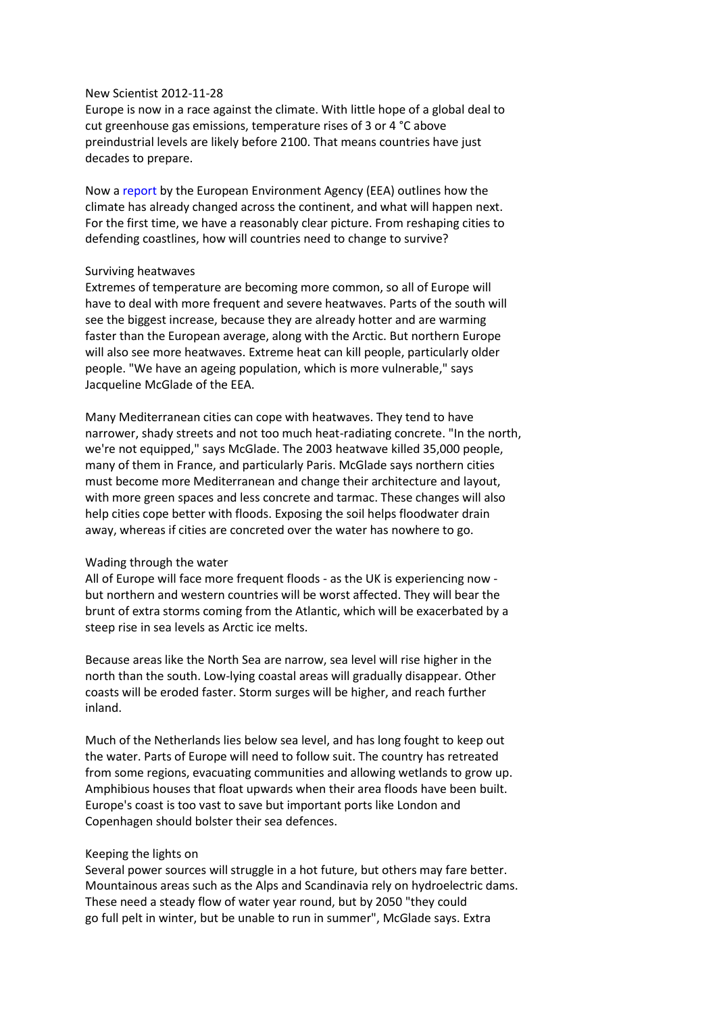# New Scientist 2012-11-28

Europe is now in a race against the climate. With little hope of a global deal to cut greenhouse gas emissions, temperature rises of 3 or 4 °C above preindustrial levels are likely before 2100. That means countries have just decades to prepare.

Now a report by the European Environment Agency (EEA) outlines how the climate has already changed across the continent, and what will happen next. For the first time, we have a reasonably clear picture. From reshaping cities to defending coastlines, how will countries need to change to survive?

# Surviving heatwaves

Extremes of temperature are becoming more common, so all of Europe will have to deal with more frequent and severe heatwaves. Parts of the south will see the biggest increase, because they are already hotter and are warming faster than the European average, along with the Arctic. But northern Europe will also see more heatwaves. Extreme heat can kill people, particularly older people. "We have an ageing population, which is more vulnerable," says Jacqueline McGlade of the EEA.

Many Mediterranean cities can cope with heatwaves. They tend to have narrower, shady streets and not too much heat-radiating concrete. "In the north, we're not equipped," says McGlade. The 2003 heatwave killed 35,000 people, many of them in France, and particularly Paris. McGlade says northern cities must become more Mediterranean and change their architecture and layout, with more green spaces and less concrete and tarmac. These changes will also help cities cope better with floods. Exposing the soil helps floodwater drain away, whereas if cities are concreted over the water has nowhere to go.

### Wading through the water

All of Europe will face more frequent floods - as the UK is experiencing now but northern and western countries will be worst affected. They will bear the brunt of extra storms coming from the Atlantic, which will be exacerbated by a steep rise in sea levels as Arctic ice melts.

Because areas like the North Sea are narrow, sea level will rise higher in the north than the south. Low-lying coastal areas will gradually disappear. Other coasts will be eroded faster. Storm surges will be higher, and reach further inland.

Much of the Netherlands lies below sea level, and has long fought to keep out the water. Parts of Europe will need to follow suit. The country has retreated from some regions, evacuating communities and allowing wetlands to grow up. Amphibious houses that float upwards when their area floods have been built. Europe's coast is too vast to save but important ports like London and Copenhagen should bolster their sea defences.

# Keeping the lights on

Several power sources will struggle in a hot future, but others may fare better. Mountainous areas such as the Alps and Scandinavia rely on hydroelectric dams. These need a steady flow of water year round, but by 2050 "they could go full pelt in winter, but be unable to run in summer", McGlade says. Extra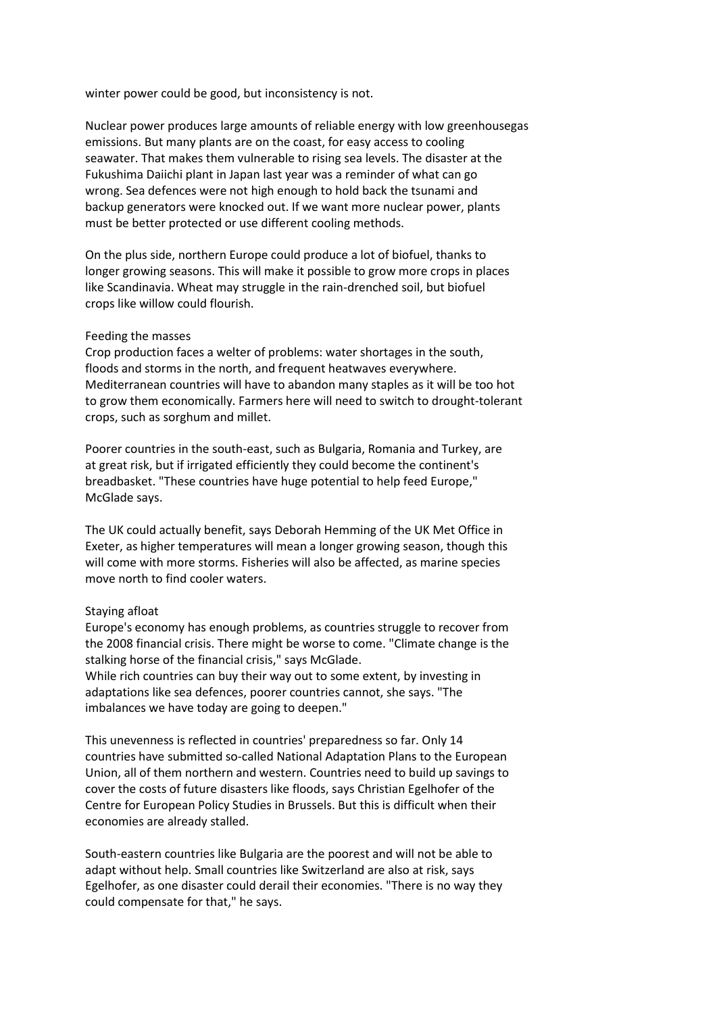winter power could be good, but inconsistency is not.

Nuclear power produces large amounts of reliable energy with low greenhousegas emissions. But many plants are on the coast, for easy access to cooling seawater. That makes them vulnerable to rising sea levels. The disaster at the Fukushima Daiichi plant in Japan last year was a reminder of what can go wrong. Sea defences were not high enough to hold back the tsunami and backup generators were knocked out. If we want more nuclear power, plants must be better protected or use different cooling methods.

On the plus side, northern Europe could produce a lot of biofuel, thanks to longer growing seasons. This will make it possible to grow more crops in places like Scandinavia. Wheat may struggle in the rain-drenched soil, but biofuel crops like willow could flourish.

# Feeding the masses

Crop production faces a welter of problems: water shortages in the south, floods and storms in the north, and frequent heatwaves everywhere. Mediterranean countries will have to abandon many staples as it will be too hot to grow them economically. Farmers here will need to switch to drought-tolerant crops, such as sorghum and millet.

Poorer countries in the south-east, such as Bulgaria, Romania and Turkey, are at great risk, but if irrigated efficiently they could become the continent's breadbasket. "These countries have huge potential to help feed Europe," McGlade says.

The UK could actually benefit, says Deborah Hemming of the UK Met Office in Exeter, as higher temperatures will mean a longer growing season, though this will come with more storms. Fisheries will also be affected, as marine species move north to find cooler waters.

# Staying afloat

Europe's economy has enough problems, as countries struggle to recover from the 2008 financial crisis. There might be worse to come. "Climate change is the stalking horse of the financial crisis," says McGlade.

While rich countries can buy their way out to some extent, by investing in adaptations like sea defences, poorer countries cannot, she says. "The imbalances we have today are going to deepen."

This unevenness is reflected in countries' preparedness so far. Only 14 countries have submitted so-called National Adaptation Plans to the European Union, all of them northern and western. Countries need to build up savings to cover the costs of future disasters like floods, says Christian Egelhofer of the Centre for European Policy Studies in Brussels. But this is difficult when their economies are already stalled.

South-eastern countries like Bulgaria are the poorest and will not be able to adapt without help. Small countries like Switzerland are also at risk, says Egelhofer, as one disaster could derail their economies. "There is no way they could compensate for that," he says.